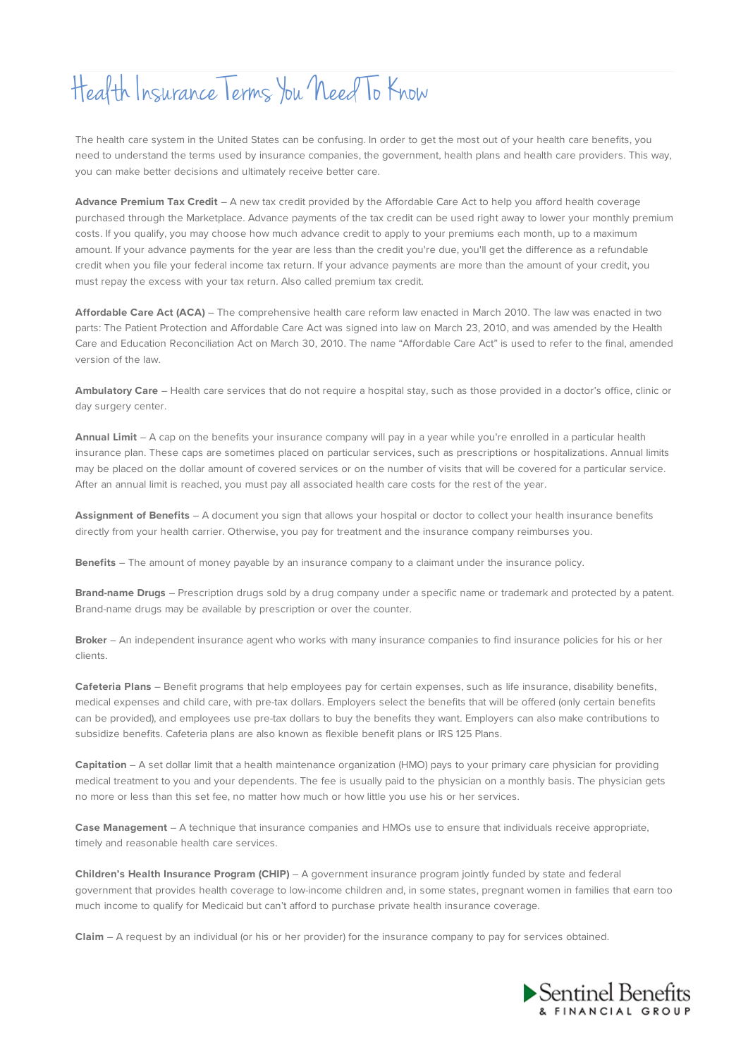## Health Insurance Terms You Need To Know

The health care system in the United States can be confusing. In order to get the most out of your health care benefits, you need to understand the terms used by insurance companies, the government, health plans and health care providers. This way, you can make better decisions and ultimately receive better care.

**Advance Premium Tax Credit** – A new tax credit provided by the Affordable Care Act to help you afford health coverage purchased through the Marketplace. Advance payments of the tax credit can be used right away to lower your monthly premium costs. If you qualify, you may choose how much advance credit to apply to your premiums each month, up to a maximum amount. If your advance payments for the year are less than the credit you're due, you'll get the difference as a refundable credit when you file your federal income tax return. If your advance payments are more than the amount of your credit, you must repay the excess with your tax return. Also called premium tax credit.

**Affordable Care Act (ACA)** – The comprehensive health care reform law enacted in March 2010. The law was enacted in two parts: The Patient Protection and Affordable Care Act was signed into law on March 23, 2010, and was amended by the Health Care and Education Reconciliation Act on March 30, 2010. The name "Affordable Care Act" is used to refer to the final, amended version of the law.

**Ambulatory Care** – Health care services that do not require a hospital stay, such as those provided in a doctor's office, clinic or day surgery center.

**Annual Limit** – A cap on the benefits your insurance company will pay in a year while you're enrolled in a particular health insurance plan. These caps are sometimes placed on particular services, such as prescriptions or hospitalizations. Annual limits may be placed on the dollar amount of covered services or on the number of visits that will be covered for a particular service. After an annual limit is reached, you must pay all associated health care costs for the rest of the year.

**Assignment of Benefits** – A document you sign that allows your hospital or doctor to collect your health insurance benefits directly from your health carrier. Otherwise, you pay for treatment and the insurance company reimburses you.

**Benefits** – The amount of money payable by an insurance company to a claimant under the insurance policy.

**Brand-name Drugs** – Prescription drugs sold by a drug company under a specific name or trademark and protected by a patent. Brand-name drugs may be available by prescription or over the counter.

**Broker** – An independent insurance agent who works with many insurance companies to find insurance policies for his or her clients.

**Cafeteria Plans** – Benefit programs that help employees pay for certain expenses, such as life insurance, disability benefits, medical expenses and child care, with pre-tax dollars. Employers select the benefits that will be offered (only certain benefits can be provided), and employees use pre-tax dollars to buy the benefits they want. Employers can also make contributions to subsidize benefits. Cafeteria plans are also known as flexible benefit plans or IRS 125 Plans.

**Capitation** – A set dollar limit that a health maintenance organization (HMO) pays to your primary care physician for providing medical treatment to you and your dependents. The fee is usually paid to the physician on a monthly basis. The physician gets no more or less than this set fee, no matter how much or how little you use his or her services.

**Case Management** – A technique that insurance companies and HMOs use to ensure that individuals receive appropriate, timely and reasonable health care services.

**Children's Health Insurance Program (CHIP)** – A government insurance program jointly funded by state and federal government that provides health coverage to low-income children and, in some states, pregnant women in families that earn too much income to qualify for Medicaid but can't afford to purchase private health insurance coverage.

**Claim** – A request by an individual (or his or her provider) for the insurance company to pay for services obtained.

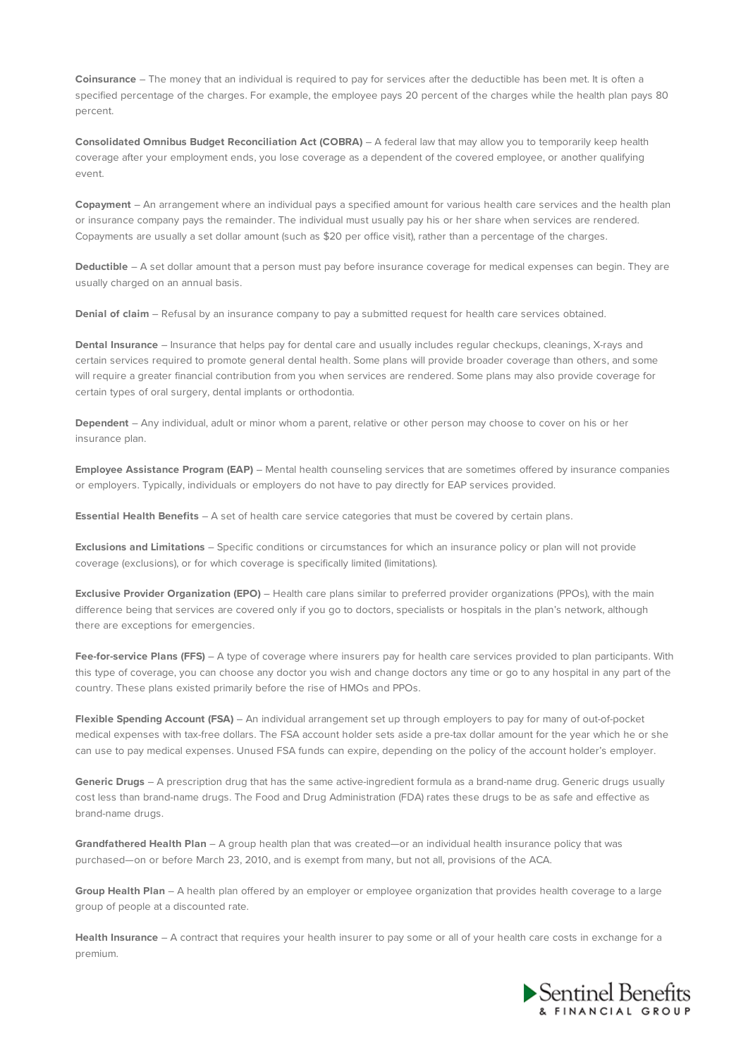**Coinsurance** – The money that an individual is required to pay for services after the deductible has been met. It is often a specified percentage of the charges. For example, the employee pays 20 percent of the charges while the health plan pays 80 percent.

**Consolidated Omnibus Budget Reconciliation Act (COBRA)** – A federal law that may allow you to temporarily keep health coverage after your employment ends, you lose coverage as a dependent of the covered employee, or another qualifying event.

**Copayment** – An arrangement where an individual pays a specified amount for various health care services and the health plan or insurance company pays the remainder. The individual must usually pay his or her share when services are rendered. Copayments are usually a set dollar amount (such as \$20 per office visit), rather than a percentage of the charges.

**Deductible** – A set dollar amount that a person must pay before insurance coverage for medical expenses can begin. They are usually charged on an annual basis.

**Denial of claim** – Refusal by an insurance company to pay a submitted request for health care services obtained.

**Dental Insurance** – Insurance that helps pay for dental care and usually includes regular checkups, cleanings, X-rays and certain services required to promote general dental health. Some plans will provide broader coverage than others, and some will require a greater financial contribution from you when services are rendered. Some plans may also provide coverage for certain types of oral surgery, dental implants or orthodontia.

**Dependent** – Any individual, adult or minor whom a parent, relative or other person may choose to cover on his or her insurance plan.

**Employee Assistance Program (EAP)** – Mental health counseling services that are sometimes offered by insurance companies or employers. Typically, individuals or employers do not have to pay directly for EAP services provided.

**Essential Health Benefits** – A set of health care service categories that must be covered by certain plans.

**Exclusions and Limitations** – Specific conditions or circumstances for which an insurance policy or plan will not provide coverage (exclusions), or for which coverage is specifically limited (limitations).

**Exclusive Provider Organization (EPO)** – Health care plans similar to preferred provider organizations (PPOs), with the main difference being that services are covered only if you go to doctors, specialists or hospitals in the plan's network, although there are exceptions for emergencies.

**Fee-for-service Plans (FFS)** – A type of coverage where insurers pay for health care services provided to plan participants. With this type of coverage, you can choose any doctor you wish and change doctors any time or go to any hospital in any part of the country. These plans existed primarily before the rise of HMOs and PPOs.

**Flexible Spending Account (FSA)** – An individual arrangement set up through employers to pay for many of out-of-pocket medical expenses with tax-free dollars. The FSA account holder sets aside a pre-tax dollar amount for the year which he or she can use to pay medical expenses. Unused FSA funds can expire, depending on the policy of the account holder's employer.

**Generic Drugs** – A prescription drug that has the same active-ingredient formula as a brand-name drug. Generic drugs usually cost less than brand-name drugs. The Food and Drug Administration (FDA) rates these drugs to be as safe and effective as brand-name drugs.

**Grandfathered Health Plan** – A group health plan that was created—or an individual health insurance policy that was purchased—on or before March 23, 2010, and is exempt from many, but not all, provisions of the ACA.

**Group Health Plan** – A health plan offered by an employer or employee organization that provides health coverage to a large group of people at a discounted rate.

**Health Insurance** – A contract that requires your health insurer to pay some or all of your health care costs in exchange for a premium.

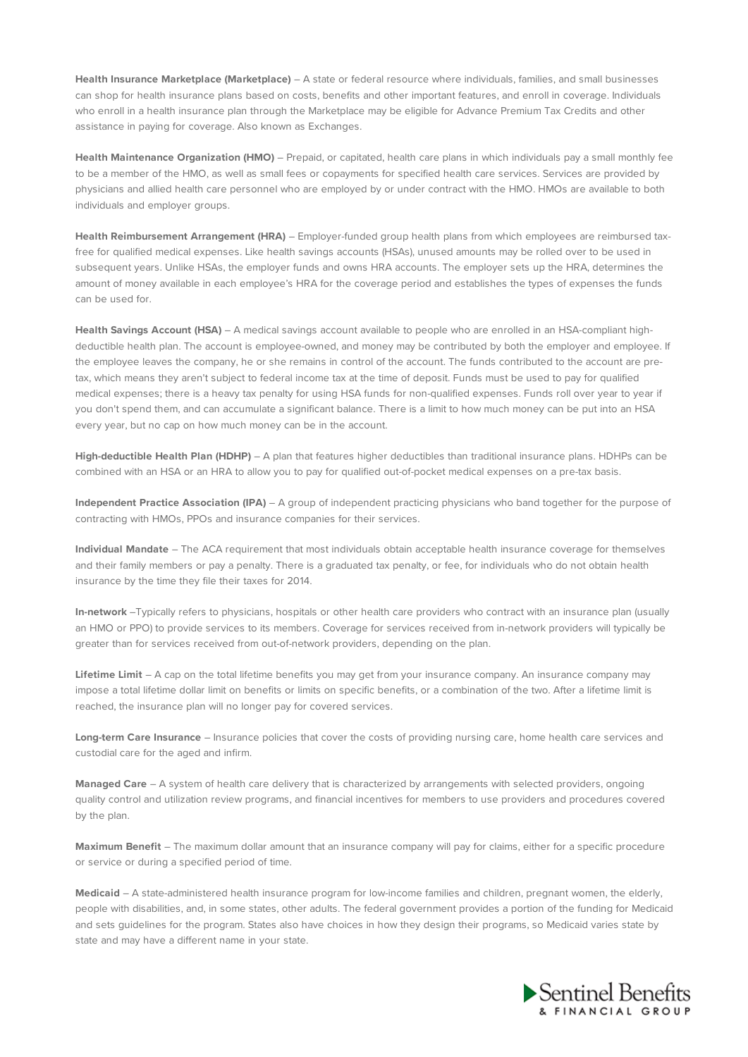**Health Insurance Marketplace (Marketplace)** – A state or federal resource where individuals, families, and small businesses can shop for health insurance plans based on costs, benefits and other important features, and enroll in coverage. Individuals who enroll in a health insurance plan through the Marketplace may be eligible for Advance Premium Tax Credits and other assistance in paying for coverage. Also known as Exchanges.

**Health Maintenance Organization (HMO)** – Prepaid, or capitated, health care plans in which individuals pay a small monthly fee to be a member of the HMO, as well as small fees or copayments for specified health care services. Services are provided by physicians and allied health care personnel who are employed by or under contract with the HMO. HMOs are available to both individuals and employer groups.

**Health Reimbursement Arrangement (HRA)** – Employer-funded group health plans from which employees are reimbursed taxfree for qualified medical expenses. Like health savings accounts (HSAs), unused amounts may be rolled over to be used in subsequent years. Unlike HSAs, the employer funds and owns HRA accounts. The employer sets up the HRA, determines the amount of money available in each employee's HRA for the coverage period and establishes the types of expenses the funds can be used for.

**Health Savings Account (HSA)** – A medical savings account available to people who are enrolled in an HSA-compliant highdeductible health plan. The account is employee-owned, and money may be contributed by both the employer and employee. If the employee leaves the company, he or she remains in control of the account. The funds contributed to the account are pretax, which means they aren't subject to federal income tax at the time of deposit. Funds must be used to pay for qualified medical expenses; there is a heavy tax penalty for using HSA funds for non-qualified expenses. Funds roll over year to year if you don't spend them, and can accumulate a significant balance. There is a limit to how much money can be put into an HSA every year, but no cap on how much money can be in the account.

**High-deductible Health Plan (HDHP)** – A plan that features higher deductibles than traditional insurance plans. HDHPs can be combined with an HSA or an HRA to allow you to pay for qualified out-of-pocket medical expenses on a pre-tax basis.

**Independent Practice Association (IPA)** – A group of independent practicing physicians who band together for the purpose of contracting with HMOs, PPOs and insurance companies for their services.

**Individual Mandate** – The ACA requirement that most individuals obtain acceptable health insurance coverage for themselves and their family members or pay a penalty. There is a graduated tax penalty, or fee, for individuals who do not obtain health insurance by the time they file their taxes for 2014.

**In-network** –Typically refers to physicians, hospitals or other health care providers who contract with an insurance plan (usually an HMO or PPO) to provide services to its members. Coverage for services received from in-network providers will typically be greater than for services received from out-of-network providers, depending on the plan.

**Lifetime Limit** – A cap on the total lifetime benefits you may get from your insurance company. An insurance company may impose a total lifetime dollar limit on benefits or limits on specific benefits, or a combination of the two. After a lifetime limit is reached, the insurance plan will no longer pay for covered services.

**Long-term Care Insurance** – Insurance policies that cover the costs of providing nursing care, home health care services and custodial care for the aged and infirm.

**Managed Care** – A system of health care delivery that is characterized by arrangements with selected providers, ongoing quality control and utilization review programs, and financial incentives for members to use providers and procedures covered by the plan.

**Maximum Benefit** – The maximum dollar amount that an insurance company will pay for claims, either for a specific procedure or service or during a specified period of time.

**Medicaid** – A state-administered health insurance program for low-income families and children, pregnant women, the elderly, people with disabilities, and, in some states, other adults. The federal government provides a portion of the funding for Medicaid and sets guidelines for the program. States also have choices in how they design their programs, so Medicaid varies state by state and may have a different name in your state.

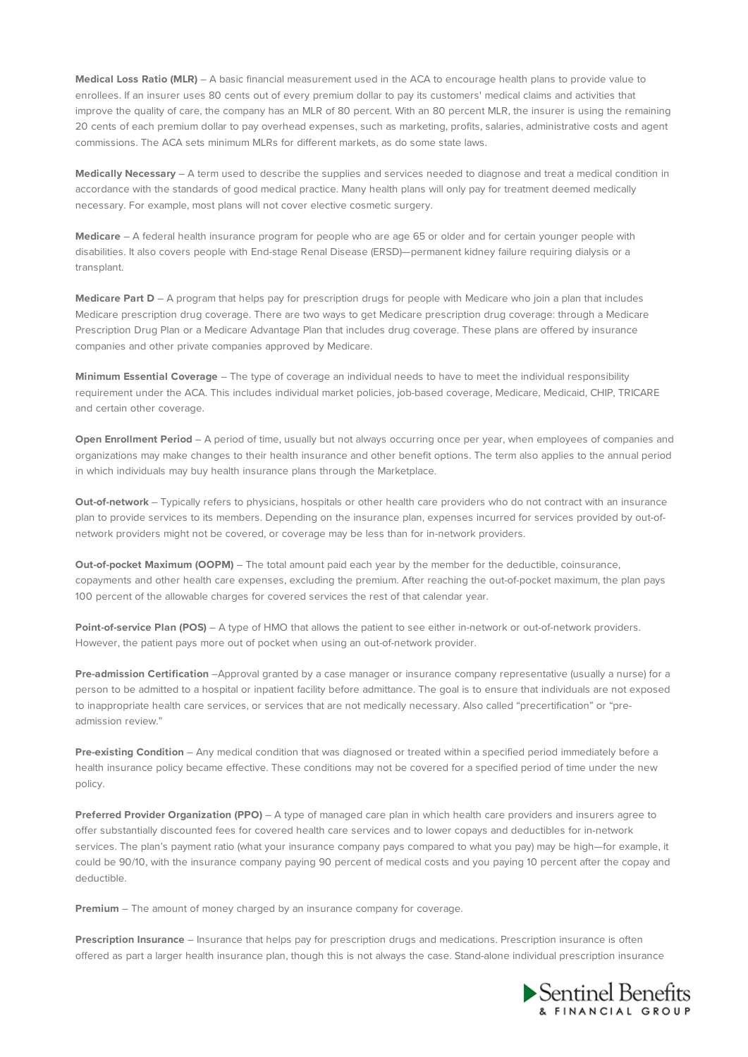**Medical Loss Ratio (MLR)** – A basic financial measurement used in the ACA to encourage health plans to provide value to enrollees. If an insurer uses 80 cents out of every premium dollar to pay its customers' medical claims and activities that improve the quality of care, the company has an MLR of 80 percent. With an 80 percent MLR, the insurer is using the remaining 20 cents of each premium dollar to pay overhead expenses, such as marketing, profits, salaries, administrative costs and agent commissions. The ACA sets minimum MLRs for different markets, as do some state laws.

**Medically Necessary** – A term used to describe the supplies and services needed to diagnose and treat a medical condition in accordance with the standards of good medical practice. Many health plans will only pay for treatment deemed medically necessary. For example, most plans will not cover elective cosmetic surgery.

**Medicare** – A federal health insurance program for people who are age 65 or older and for certain younger people with disabilities. It also covers people with End-stage Renal Disease (ERSD)—permanent kidney failure requiring dialysis or a transplant.

**Medicare Part D** – A program that helps pay for prescription drugs for people with Medicare who join a plan that includes Medicare prescription drug coverage. There are two ways to get Medicare prescription drug coverage: through a Medicare Prescription Drug Plan or a Medicare Advantage Plan that includes drug coverage. These plans are offered by insurance companies and other private companies approved by Medicare.

**Minimum Essential Coverage** – The type of coverage an individual needs to have to meet the individual responsibility requirement under the ACA. This includes individual market policies, job-based coverage, Medicare, Medicaid, CHIP, TRICARE and certain other coverage.

**Open Enrollment Period** – A period of time, usually but not always occurring once per year, when employees of companies and organizations may make changes to their health insurance and other benefit options. The term also applies to the annual period in which individuals may buy health insurance plans through the Marketplace.

**Out-of-network** – Typically refers to physicians, hospitals or other health care providers who do not contract with an insurance plan to provide services to its members. Depending on the insurance plan, expenses incurred for services provided by out-ofnetwork providers might not be covered, or coverage may be less than for in-network providers.

**Out-of-pocket Maximum (OOPM)** – The total amount paid each year by the member for the deductible, coinsurance, copayments and other health care expenses, excluding the premium. After reaching the out-of-pocket maximum, the plan pays 100 percent of the allowable charges for covered services the rest of that calendar year.

**Point-of-service Plan (POS)** – A type of HMO that allows the patient to see either in-network or out-of-network providers. However, the patient pays more out of pocket when using an out-of-network provider.

**Pre-admission Certification** –Approval granted by a case manager or insurance company representative (usually a nurse) for a person to be admitted to a hospital or inpatient facility before admittance. The goal is to ensure that individuals are not exposed to inappropriate health care services, or services that are not medically necessary. Also called "precertification" or "preadmission review."

**Pre-existing Condition** – Any medical condition that was diagnosed or treated within a specified period immediately before a health insurance policy became effective. These conditions may not be covered for a specified period of time under the new policy.

**Preferred Provider Organization (PPO)** – A type of managed care plan in which health care providers and insurers agree to offer substantially discounted fees for covered health care services and to lower copays and deductibles for in-network services. The plan's payment ratio (what your insurance company pays compared to what you pay) may be high—for example, it could be 90/10, with the insurance company paying 90 percent of medical costs and you paying 10 percent after the copay and deductible.

**Premium** – The amount of money charged by an insurance company for coverage.

**Prescription Insurance** – Insurance that helps pay for prescription drugs and medications. Prescription insurance is often offered as part a larger health insurance plan, though this is not always the case. Stand-alone individual prescription insurance